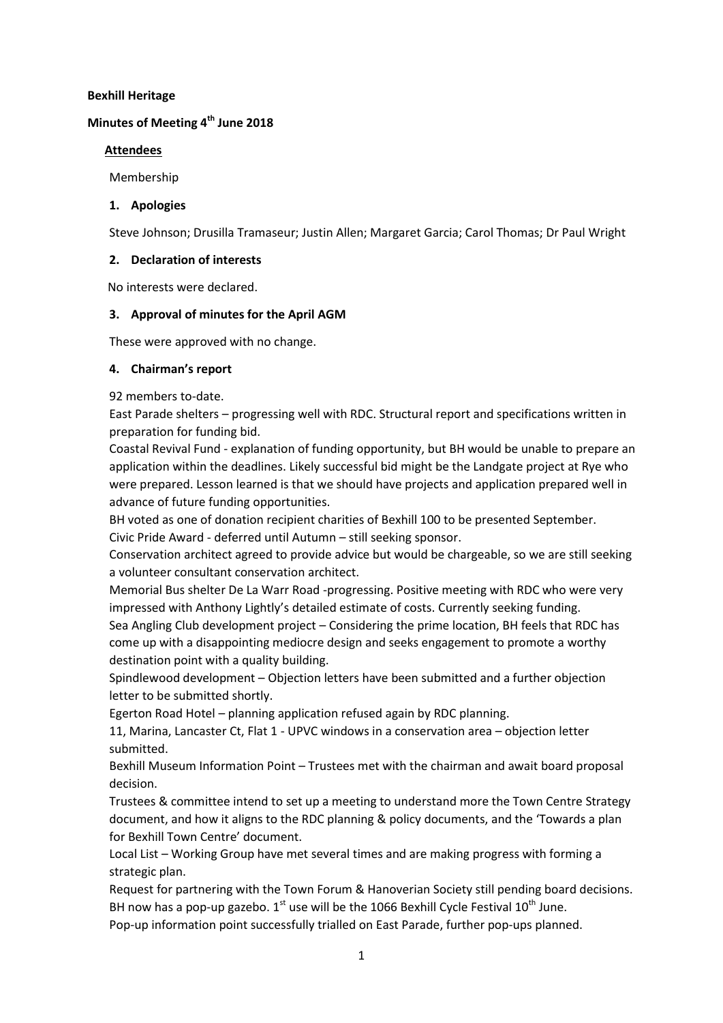#### **Bexhill Heritage**

# **Minutes of Meeting 4 th June 2018**

### **Attendees**

Membership

### **1. Apologies**

Steve Johnson; Drusilla Tramaseur; Justin Allen; Margaret Garcia; Carol Thomas; Dr Paul Wright

### **2. Declaration of interests**

No interests were declared.

## **3. Approval of minutes for the April AGM**

These were approved with no change.

### **4. Chairman's report**

92 members to-date.

East Parade shelters – progressing well with RDC. Structural report and specifications written in preparation for funding bid.

Coastal Revival Fund - explanation of funding opportunity, but BH would be unable to prepare an application within the deadlines. Likely successful bid might be the Landgate project at Rye who were prepared. Lesson learned is that we should have projects and application prepared well in advance of future funding opportunities.

BH voted as one of donation recipient charities of Bexhill 100 to be presented September. Civic Pride Award - deferred until Autumn – still seeking sponsor.

Conservation architect agreed to provide advice but would be chargeable, so we are still seeking a volunteer consultant conservation architect.

Memorial Bus shelter De La Warr Road -progressing. Positive meeting with RDC who were very impressed with Anthony Lightly's detailed estimate of costs. Currently seeking funding.

Sea Angling Club development project – Considering the prime location, BH feels that RDC has come up with a disappointing mediocre design and seeks engagement to promote a worthy destination point with a quality building.

Spindlewood development – Objection letters have been submitted and a further objection letter to be submitted shortly.

Egerton Road Hotel – planning application refused again by RDC planning.

11, Marina, Lancaster Ct, Flat 1 - UPVC windows in a conservation area – objection letter submitted.

Bexhill Museum Information Point – Trustees met with the chairman and await board proposal decision.

Trustees & committee intend to set up a meeting to understand more the Town Centre Strategy document, and how it aligns to the RDC planning & policy documents, and the 'Towards a plan for Bexhill Town Centre' document.

Local List – Working Group have met several times and are making progress with forming a strategic plan.

Request for partnering with the Town Forum & Hanoverian Society still pending board decisions. BH now has a pop-up gazebo.  $1^{st}$  use will be the 1066 Bexhill Cycle Festival  $10^{th}$  June. Pop-up information point successfully trialled on East Parade, further pop-ups planned.